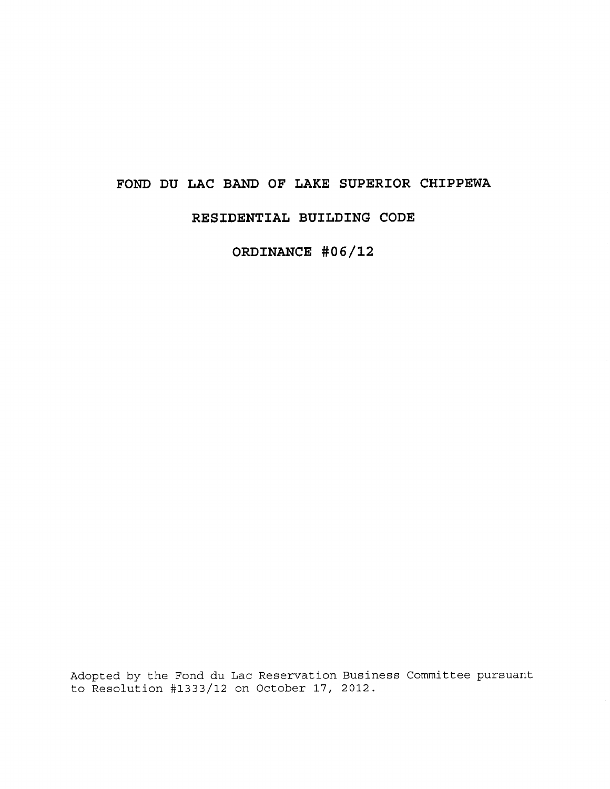# **FOND DU LAC BAND OF LAKE SUPERIOR CHIPPEWA**

# **RESIDENTIAL BUILDING CODE**

**ORDINANCE #06/12**

Adopted by the Fond du Lac Reservation Business Committee pursuant to Resolution #1333/12 on October 17, 2012.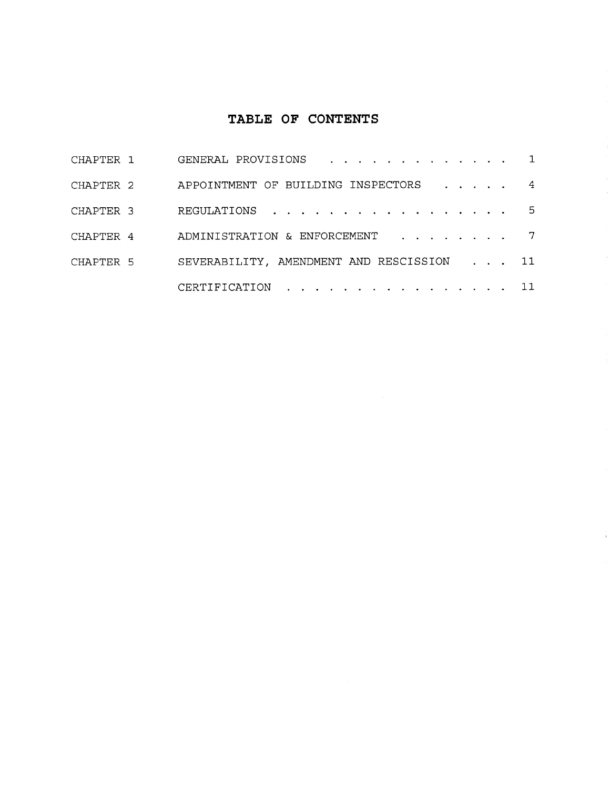# **TABLE OF CONTENTS**

| CHAPTER 1 | GENERAL PROVISIONS 1                      |  |  |  |
|-----------|-------------------------------------------|--|--|--|
| CHAPTER 2 | APPOINTMENT OF BUILDING INSPECTORS 4      |  |  |  |
| CHAPTER 3 | REGULATIONS 5                             |  |  |  |
| CHAPTER 4 | ADMINISTRATION & ENFORCEMENT 7            |  |  |  |
| CHAPTER 5 | SEVERABILITY, AMENDMENT AND RESCISSION 11 |  |  |  |
|           | CERTIFICATION 11                          |  |  |  |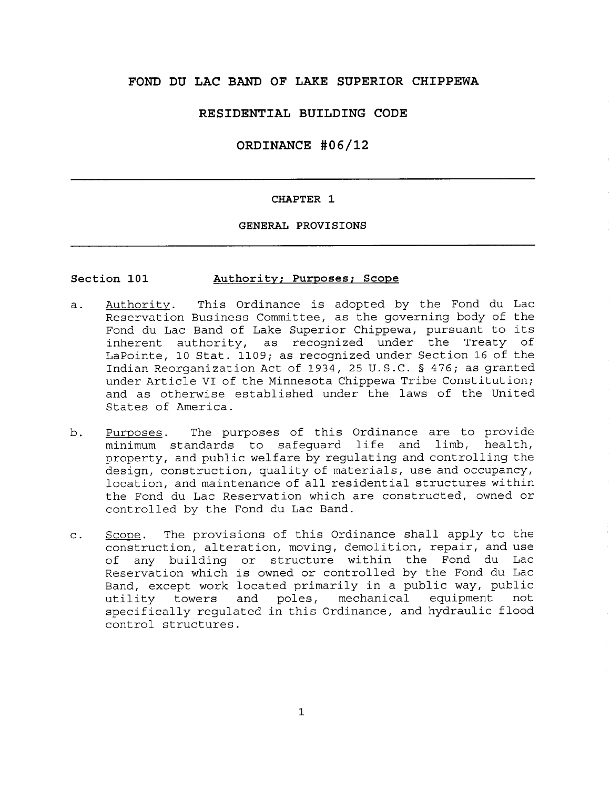# **FOND DU LAC BAND OF LAKE SUPERIOR CHIPPEWA**

# **RESIDENTIAL BUILDING CODE**

# **ORDINANCE #06/12**

# **CHAPTER** 1

# **GENERAL PROVISIONS**

### **Section** 101 Authority; **Purposes; Scope**

- a. Authority. This Ordinance is adopted by the Fond du Lac Reservation Business Committee, as the governing body of the Fond du Lac Band of Lake Superior Chippewa, pursuant to its inherent authority, as recognized under the Treaty of LaPointe, 10 Stat. 1109; as recognized under Section 16 of the Indian Reorganization Act of 1934, 25 U.S.C. § 476; as granted under Article VI of the Minnesota Chippewa Tribe Constitution; and as otherwise established under the laws of the United States of America.
- b. Purposes. The purposes of this Ordinance are to provide minimum standards to safeguard life and limb, health, property, and public welfare by regulating and controlling the design, construction, quality of materials, use and occupancy, location, and maintenance of all residential structures within the Fond du Lac Reservation which are constructed, owned or controlled by the Fond du Lac Band.
- c. Scope. The provisions of this Ordinance shall apply to the construction, alteration, moving, demolition, repair, and use of any building or structure within the Fond du Lac Reservation which is owned or controlled by the Fond du Lac Band, except work located primarily in a public way, public<br>utility towers and poles, mechanical equipment not utility towers and poles, mechanical equipment specifically regulated in this Ordinance, and hydraulic flood control structures.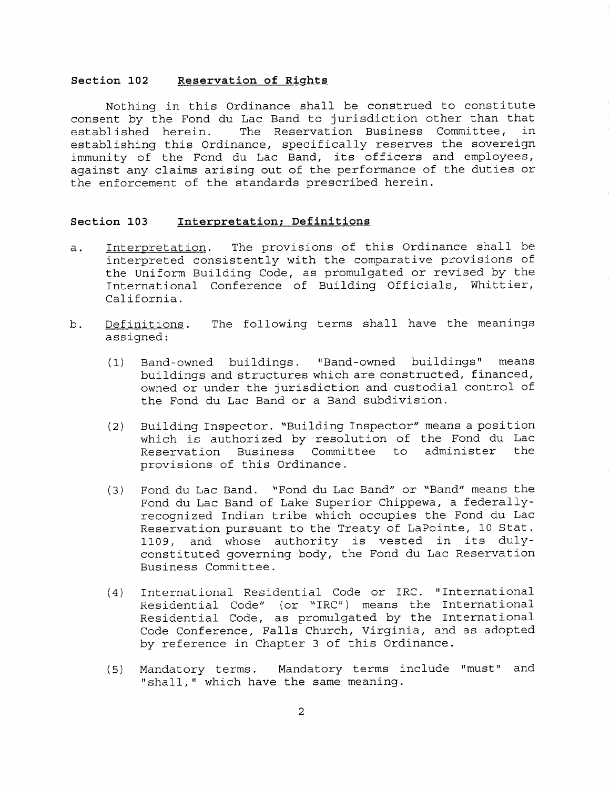### **Section 102 Reservation of Rights**

Nothing in this Ordinance shall be construed to constitute consent by the Fond du Lac Band to jurisdiction other than that established herein. The Reservation Business Committee, in establishing this Ordinance, specifically reserves the sovereign immunity of the Fond du Lac Band, its officers and employees, against any claims arising out of the performance of the duties or the enforcement of the standards prescribed herein.

### **Section 103 Interpretation; Definitions**

- a. Interpretation. The provisions of this Ordinance shall be interpreted consistently with the comparative provisions of the Uniform Building Code, as promulgated or revised by the International Conference of Building Officials, Whittier, California.
- b. Definitions. The following terms shall have the meanings assigned:
	- (1) Band-owned buildings. "Band-owned buildings" means buildings and structures which are constructed, financed, owned or under the jurisdiction and custodial control of the Fond du Lac Band **or** a Band subdivision.
	- (2) Building Inspector. "Building Inspector" means a position which is authorized by resolution of the Fond du Lac Reservation Business Committee to administer the provisions of this Ordinance.
	- (3) Fond du Lac Band. "Fond du Lac Band" or "Band" means the Fond du Lac Band of Lake Superior Chippewa, a federallyrecognized Indian tribe which occupies the Fond du Lac Reservation pursuant to the Treaty of LaPointe, 10 Stat. 1109, and whose authority is vested in its dulyconstituted governing body, the Fond du Lac Reservation Business Committee.
	- (4) International Residential Code or IRC. "International Residential Code" (or "IRC") means the International Residential Code, as promulgated by the International Code Conference, Falls Church, Virginia, and as adopted by reference in Chapter 3 of this Ordinance.
	- (5) Mandatory terms. Mandatory terms include "must" and "shall," which have the same meaning.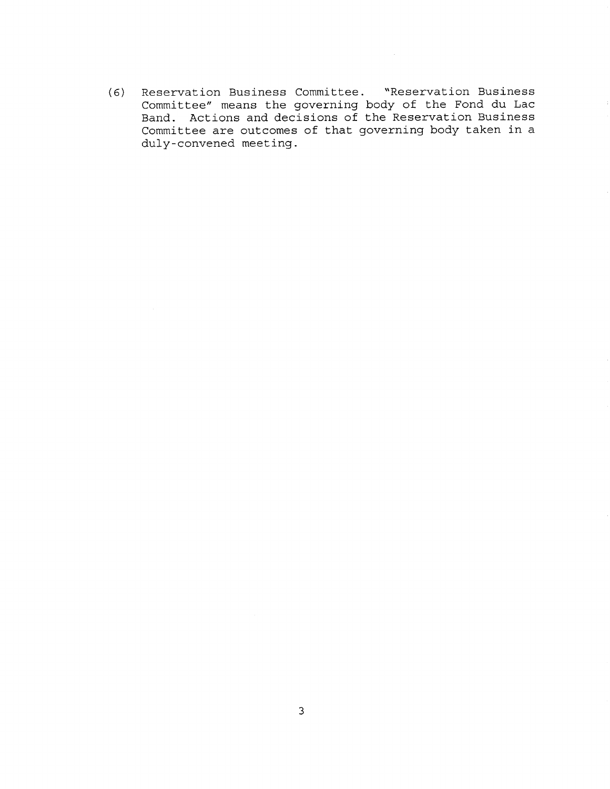(6) Reservation Business Committee. "Reservation Business Committee" means the governing body of the Fond du Lac Band. Actions and decisions of the Reservation Business Committee are outcomes of that governing body taken in a duly-convened meeting.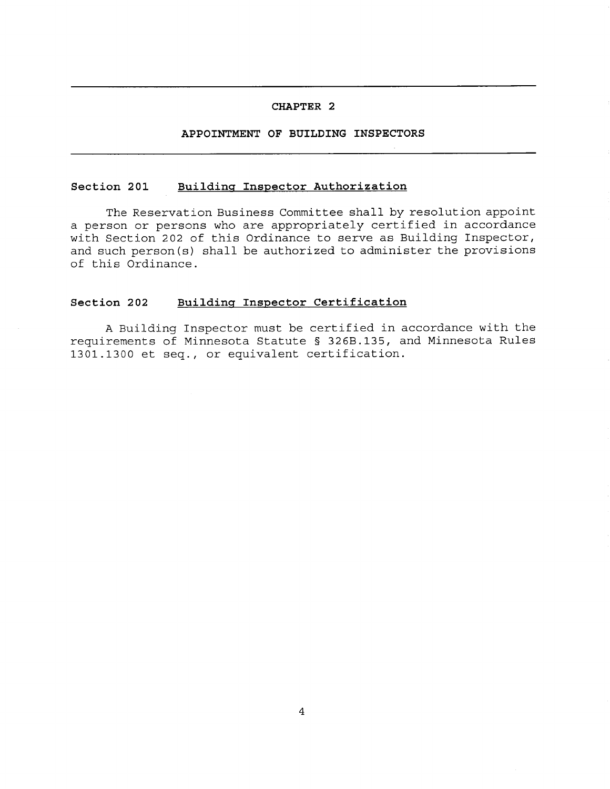# **APPOINTMENT OF BUILDING INSPECTORS**

## **Section 201 Building Inspector Authorization**

The Reservation Business Committee shall by resolution appoint a person or persons who are appropriately certified in accordance with Section 202 of this Ordinance to serve as Building Inspector, and such person(s) shall be authorized to administer the provisions of this Ordinance.

# **Section 202 Building Inspector Certification**

A Building Inspector must be certified in accordance with the requirements of Minnesota Statute § 326B.135, and Minnesota Rules 1301.1300 et seq., or equivalent certification.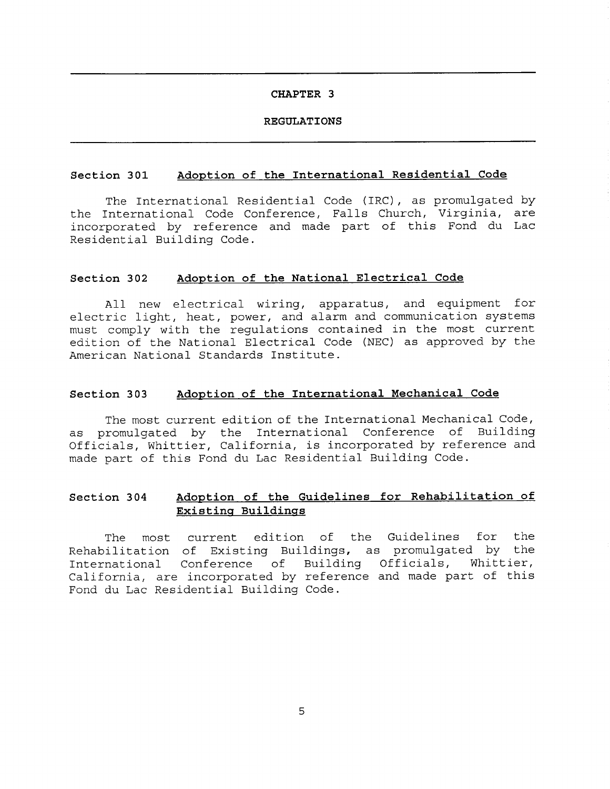### **REGULATIONS**

### **Section 301 Adoption of the International Residential Code**

The International Residential Code (IRC), as promulgated by the International Code Conference, Falls Church, Virginia, are incorporated by reference and made part of this Fond du Lac Residential Building Code.

### **Section 302 Adoption of the National Electrical Code**

All new electrical wiring, apparatus, and equipment for electric light, heat, power, and alarm and communication systems must comply with the regulations contained in the most current edition of the National Electrical Code (NEC) as approved by the American National Standards Institute.

### **Section 303 Adoption of the International Mechanical Code**

The most current edition of the International Mechanical Code, as promulgated by the International Conference of Building Officials, Whittier, California, is incorporated by reference and made part of this Fond du Lac Residential Building Code.

# **Section 304 Adoption of the Guidelines for Rehabilitation of Existing Buildings**

The most current edition of the Guidelines for the Rehabilitation of Existing Buildings, as promulgated by the International Conference of Building Officials, Whittier, California, are incorporated by reference and made part of this Fond du Lac Residential Building Code.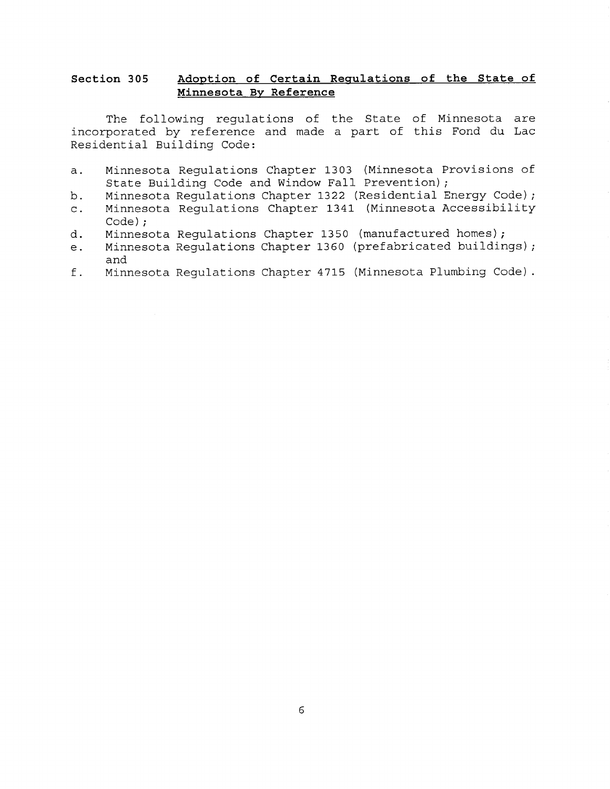# **Section 305 Adoption of Certain Regulations of the State of Minnesota By Reference**

The following regulations of the State of Minnesota are incorporated by reference and made a part of this Fond du Lac Residential Building Code:

- a. Minnesota Regulations Chapter 1303 (Minnesota Provisions of State Building Code and Window Fall Prevention);
- b. Minnesota Regulations Chapter 1322 (Residential Energy Code);
- c. Minnesota Regulations Chapter 1341 (Minnesota Accessibility Code);
- d. Minnesota Regulations Chapter 1350 (manufactured homes);
- e. Minnesota Regulations Chapter 1360 (prefabricated buildings); and
- f. Minnesota Regulations Chapter 4715 (Minnesota Plumbing Code).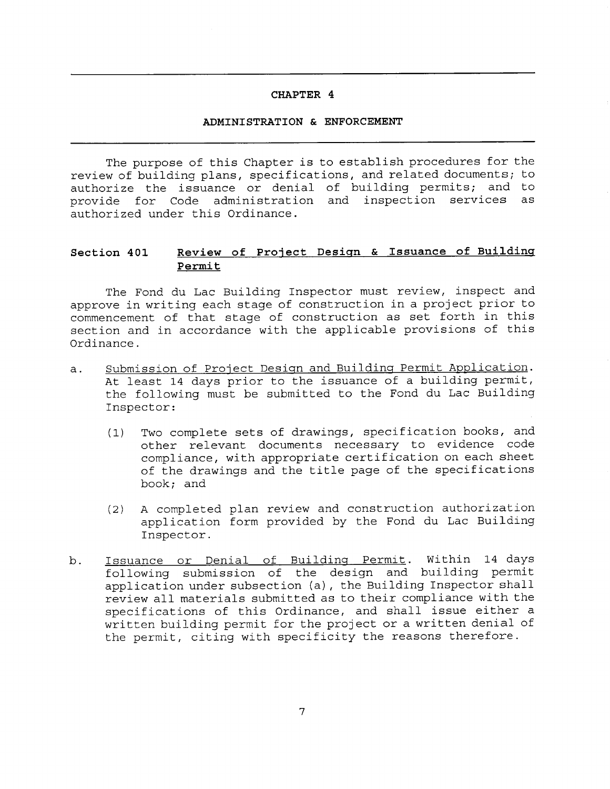### **ADMINISTRATION & ENFORCEMENT**

The purpose of this Chapter is to establish procedures for the review of building plans, specifications, and related documents; to authorize the issuance or denial of building permits; and to provide for Code administration and inspection services as authorized under this Ordinance. **CHAPTER 4**<br> **ADMINISTRATION & ENFORCEMENT**<br> **Tropse** of this Chapter is to establish procedures for the<br>
iding plans, specifications, and related documents; to<br>
the issuance or denial of building permits; and to<br> **Review** 

# **Section 401 Permit**

The Fond du Lac Building Inspector must review, inspect and approve in writing each stage of construction in a project prior to commencement of that stage of construction as set forth in this section and in accordance with the applicable provisions of this Ordinance.

- a. Submission of Project Design and Building Permit Application. At least 14 days prior to the issuance of a building permit, the following must be submitted to the Fond du Lac Building Inspector:
	- (1) Two complete sets of drawings, specification books, and other relevant documents necessary to evidence code compliance, with appropriate certification on each sheet of the drawings and the title page of the specifications book; and
	- (2) A completed plan review and construction authorization application form provided by the Fond du Lac Building Inspector.
- b. Issuance or Denial of Building Permit. Within 14 days following submission of the design and building permit application under subsection (a), the Building Inspector shall review all materials submitted as to their compliance with the specifications of this Ordinance, and shall issue either a written building permit for the project or a written denial of the permit, citing with specificity the reasons therefore.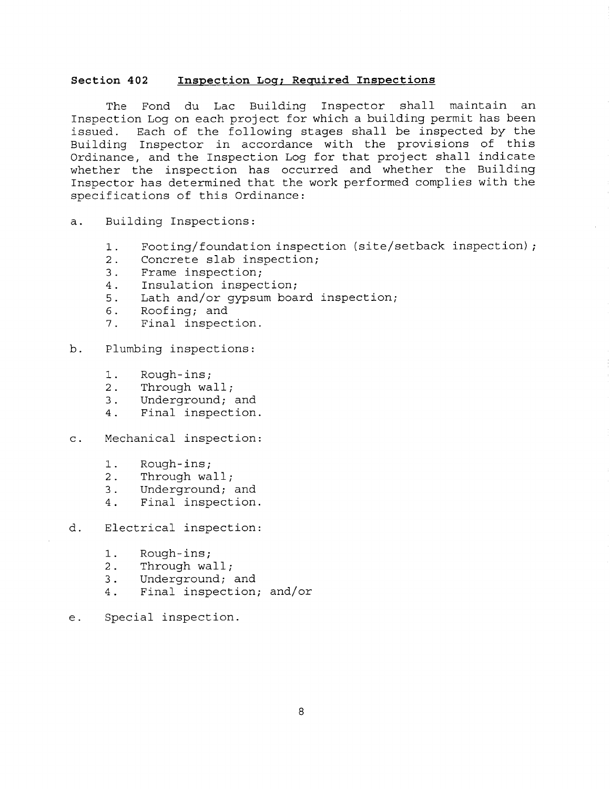## **Section 402 Inspection Log; Required Inspections**

The Fond du Lac Building Inspector shall maintain an Inspection Log on each project for which a building permit has been issued. Each of the following stages shall be inspected by the Building Inspector in accordance with the provisions of this Ordinance, and the Inspection Log for that project shall indicate whether the inspection has occurred and whether the Building Inspector has determined that the work performed complies with the specifications of this Ordinance:

- a. Building Inspections:
	- 1. Footing/foundation inspection (site/setback inspection);
	- 2. Concrete slab inspection;
	- 3. Frame inspection;
	- 4. Insulation inspection;
	- 5. Lath and/or gypsum board inspection;
	- 6. Roofing; and<br>7. Final inspect
	- Final inspection.

b. Plumbing inspections:

- 1. Rough-ins;
- 2. Through wall;
- 3. Underground; and
- 4. Final inspection.
- c. Mechanical inspection:
	- 1. Rough-ins;<br>2. Through wa
	- 2. Through wall;<br>3. Underground:
	- Underground; and
	- 4. Final inspection.
- d. Electrical inspection:
	- 1. Rough-ins;
	- 2. Through wall;
	- 3. Underground; and
	- 4. Final inspection; and/or
- e. Special inspection.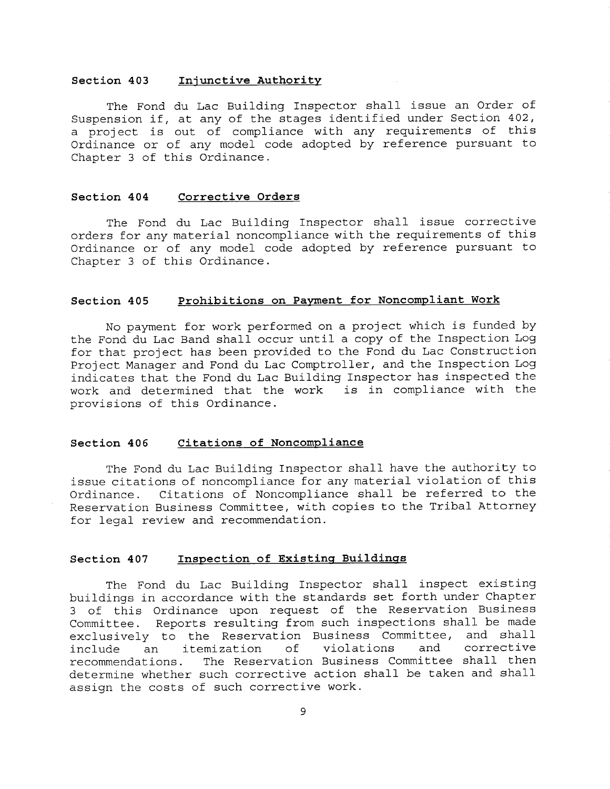### **Section 403 Injunctive Authority**

The Fond du Lac Building Inspector shall issue an Order of Suspension if, at any of the stages identified under Section 402, a project is out of compliance with any requirements of this Ordinance or of any model code adopted by reference pursuant to Chapter 3 of this Ordinance.

## **Section 404 Corrective Orders**

The Fond du Lac Building Inspector shall issue corrective orders for any material noncompliance with the requirements of this Ordinance or of any model code adopted by reference pursuant to Chapter 3 of this Ordinance.

### **Section 405 Prohibitions on Payment for Noncompliant Work**

No payment for work performed on a project which is funded by the Fond du Lac Band shall occur until a copy of the Inspection Log for that project has been provided to the Fond du Lac Construction Project Manager and Fond du Lac Comptroller, and the Inspection Log indicates that the Fond du Lac Building Inspector has inspected the work and determined that the work is in compliance with the provisions of this Ordinance.

### **Section 406 Citations of Noncompliance**

The Fond du Lac Building Inspector shall have the authority to issue citations of noncompliance for any material violation of this Ordinance. Citations of Noncompliance shall be referred to the Reservation Business Committee, with copies to the Tribal Attorney for legal review and recommendation.

# **Section 407 Inspection of Existing Buildings**

The Fond du Lac Building Inspector shall inspect existing buildings in accordance with the standards set forth under Chapter 3 of this Ordinance upon request of the Reservation Business Committee. Reports resulting from such inspections shall be made exclusively to the Reservation Business Committee, and shall<br>include an itemization of violations and corrective include an itemization of<br>recommendations. The Reservation The Reservation Business Committee shall then determine whether such corrective action shall be taken and shall assign the costs of such corrective work.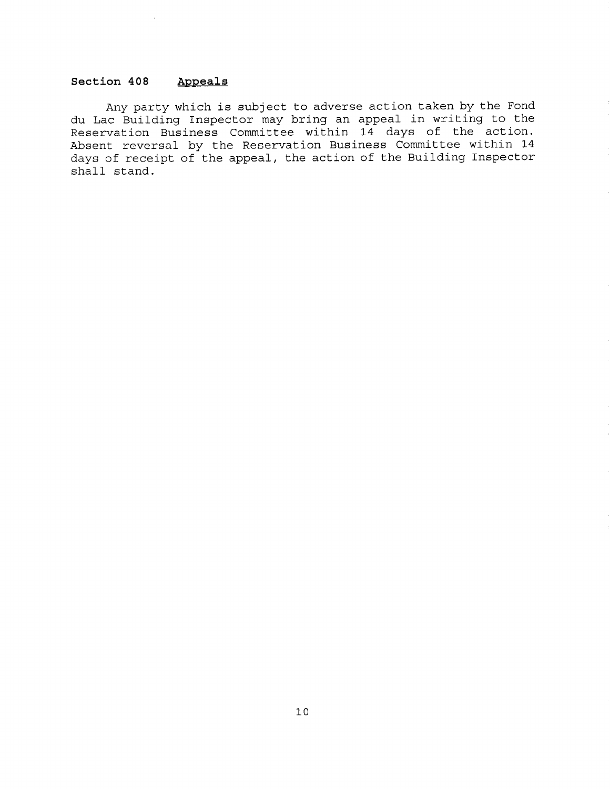# **Section 408 Appeals**

 $\sim$ 

Any party which is subject to adverse action taken by the Fond du Lac Building Inspector may bring an appeal in writing to the Reservation Business Committee within 14 days of the action. Absent reversal by the Reservation Business Committee within 14 days of receipt of the appeal, the action of the Building Inspector shall stand.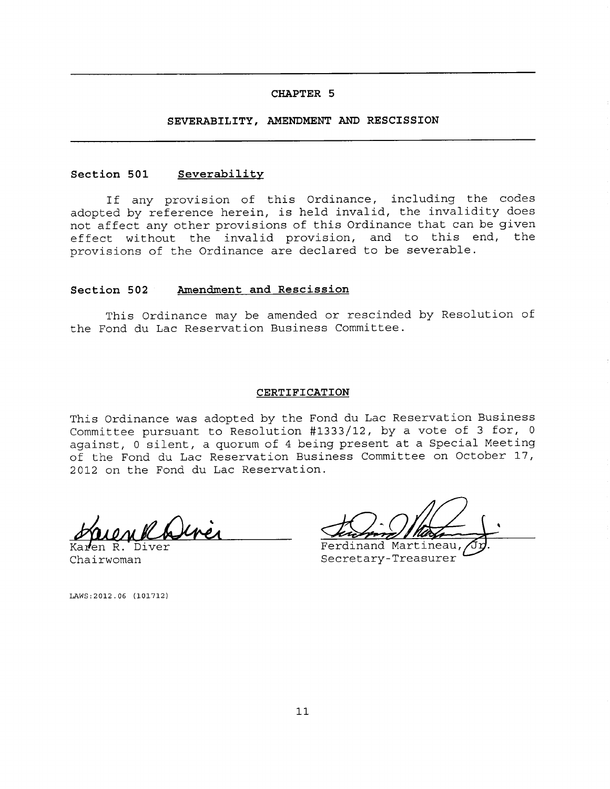# **SEVERABILITY, AMENDMENT AND RESCISSION**

#### **Section 501 Severability**

If any provision of this Ordinance, including the codes adopted by reference herein, is held invalid, the invalidity does not affect any other provisions of this Ordinance that can be given effect without the invalid provision, and to this end, the provisions of the Ordinance are declared to be severable.

#### **Section 502 Amendment and Rescission**

This Ordinance may be amended or rescinded by Resolution of the Fond du Lac Reservation Business Committee.

#### **CERTIFICATION**

This Ordinance was adopted by the Fond du Lac Reservation Business Committee pursuant to Resolution #1333/12, by a vote of 3 for, 0 against, 0 silent, a quorum of 4 being present at a Special Meeting of the Fond du Lac Reservation Business Committee on October 17, 2012 on the Fond du Lac Reservation.

en R. Diver Chairwoman

LAWS:2012.06 (101712)

Ferdinand Martineau, Secretary-Treasurer